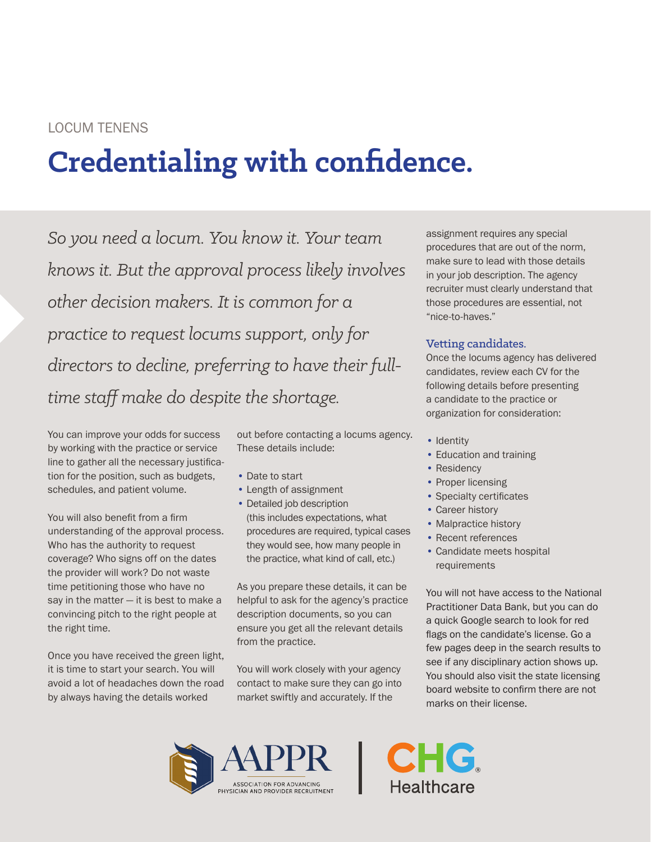# **Credentialing with confidence.**

*So you need a locum. You know it. Your team knows it. But the approval process likely involves other decision makers. It is common for a practice to request locums support, only for directors to decline, preferring to have their fulltime staff make do despite the shortage.*

You can improve your odds for success by working with the practice or service line to gather all the necessary justification for the position, such as budgets, schedules, and patient volume.

You will also benefit from a firm understanding of the approval process. Who has the authority to request coverage? Who signs off on the dates the provider will work? Do not waste time petitioning those who have no say in the matter — it is best to make a convincing pitch to the right people at the right time.

Once you have received the green light, it is time to start your search. You will avoid a lot of headaches down the road by always having the details worked

out before contacting a locums agency. These details include:

- Date to start
- Length of assignment
- Detailed job description (this includes expectations, what procedures are required, typical cases they would see, how many people in the practice, what kind of call, etc.)

As you prepare these details, it can be helpful to ask for the agency's practice description documents, so you can ensure you get all the relevant details from the practice.

You will work closely with your agency contact to make sure they can go into market swiftly and accurately. If the



**ASSOCIATION FOR ADVANCING PHYSICIAN AND PROVIDER RECRUITMENT**  Vetting candidates. Once the locums agency has delivered candidates, review each CV for the following details before presenting a candidate to the practice or organization for consideration:

assignment requires any special procedures that are out of the norm, make sure to lead with those details in your job description. The agency recruiter must clearly understand that those procedures are essential, not

- Identity
- Education and training
- Residency

"nice-to-haves."

- Proper licensing
- Specialty certificates
- Career history

**Healthcare** 

- Malpractice history
- Recent references
- Candidate meets hospital requirements

You will not have access to the National Practitioner Data Bank, but you can do a quick Google search to look for red flags on the candidate's license. Go a few pages deep in the search results to see if any disciplinary action shows up. You should also visit the state licensing board website to confirm there are not marks on their license.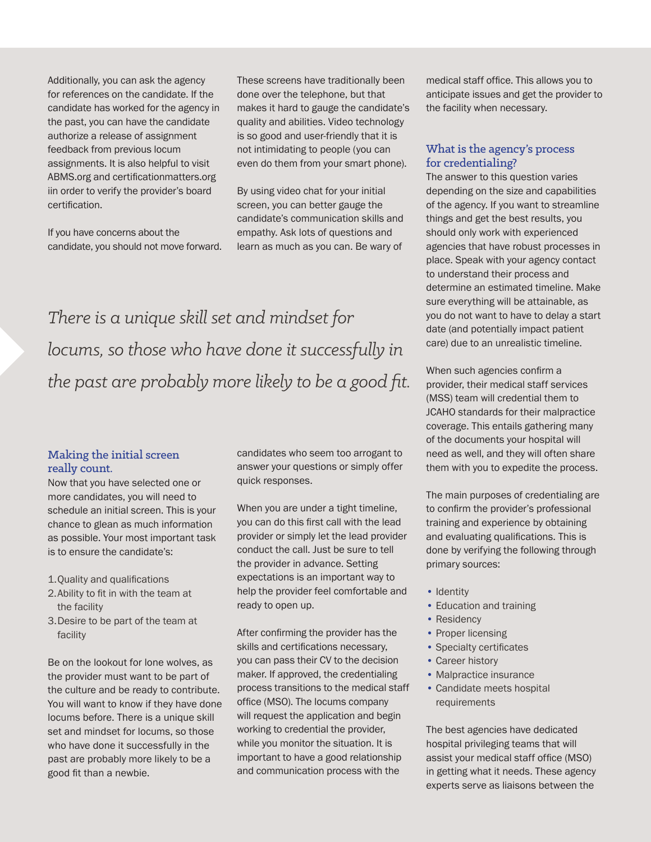Additionally, you can ask the agency for references on the candidate. If the candidate has worked for the agency in the past, you can have the candidate authorize a release of assignment feedback from previous locum assignments. It is also helpful to visit ABMS.org and certificationmatters.org iin order to verify the provider's board certification.

If you have concerns about the candidate, you should not move forward. These screens have traditionally been done over the telephone, but that makes it hard to gauge the candidate's quality and abilities. Video technology is so good and user-friendly that it is not intimidating to people (you can even do them from your smart phone).

By using video chat for your initial screen, you can better gauge the candidate's communication skills and empathy. Ask lots of questions and learn as much as you can. Be wary of

*There is a unique skill set and mindset for locums, so those who have done it successfully in the past are probably more likely to be a good fit.*

## Making the initial screen really count.

Now that you have selected one or more candidates, you will need to schedule an initial screen. This is your chance to glean as much information as possible. Your most important task is to ensure the candidate's:

- 1.Quality and qualifications
- 2.Ability to fit in with the team at the facility
- 3.Desire to be part of the team at facility

Be on the lookout for lone wolves, as the provider must want to be part of the culture and be ready to contribute. You will want to know if they have done locums before. There is a unique skill set and mindset for locums, so those who have done it successfully in the past are probably more likely to be a good fit than a newbie.

candidates who seem too arrogant to answer your questions or simply offer quick responses.

When you are under a tight timeline, you can do this first call with the lead provider or simply let the lead provider conduct the call. Just be sure to tell the provider in advance. Setting expectations is an important way to help the provider feel comfortable and ready to open up.

After confirming the provider has the skills and certifications necessary, you can pass their CV to the decision maker. If approved, the credentialing process transitions to the medical staff office (MSO). The locums company will request the application and begin working to credential the provider, while you monitor the situation. It is important to have a good relationship and communication process with the

medical staff office. This allows you to anticipate issues and get the provider to the facility when necessary.

# What is the agency's process for credentialing?

The answer to this question varies depending on the size and capabilities of the agency. If you want to streamline things and get the best results, you should only work with experienced agencies that have robust processes in place. Speak with your agency contact to understand their process and determine an estimated timeline. Make sure everything will be attainable, as you do not want to have to delay a start date (and potentially impact patient care) due to an unrealistic timeline.

When such agencies confirm a provider, their medical staff services (MSS) team will credential them to JCAHO standards for their malpractice coverage. This entails gathering many of the documents your hospital will need as well, and they will often share them with you to expedite the process.

The main purposes of credentialing are to confirm the provider's professional training and experience by obtaining and evaluating qualifications. This is done by verifying the following through primary sources:

- Identity
- Education and training
- Residency
- Proper licensing
- Specialty certificates
- Career history
- Malpractice insurance
- Candidate meets hospital requirements

The best agencies have dedicated hospital privileging teams that will assist your medical staff office (MSO) in getting what it needs. These agency experts serve as liaisons between the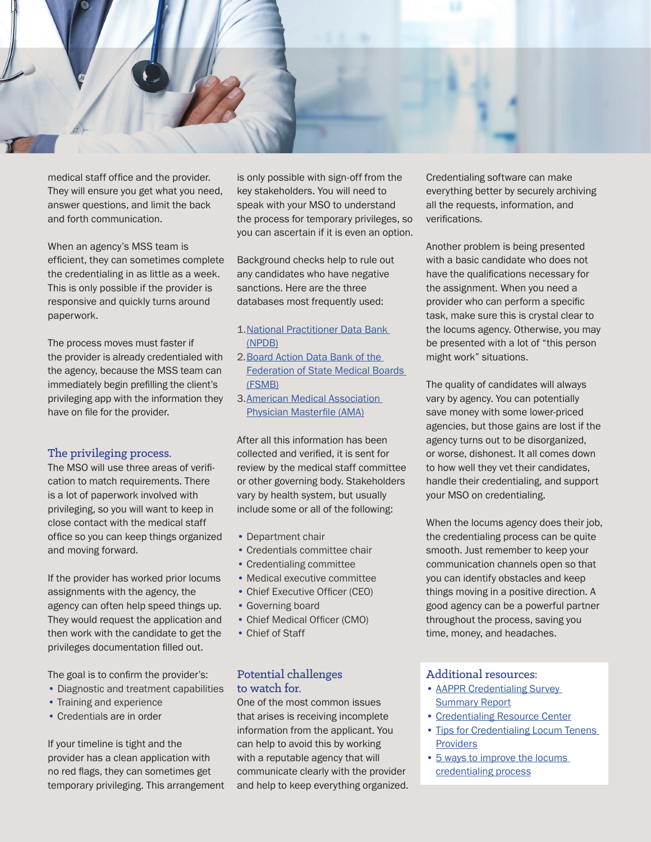

medical staff office and the provider. They will ensure you get what you need, answer questions, and limit the back and forth communication.

When an agency's MSS team is efficient, they can sometimes complete the credentialing in as little as a week. This is only possible if the provider is responsive and quickly turns around paperwork.

The process moves must faster if the provider is already credentialed with the agency, because the MSS team can immediately begin prefilling the client's privileging app with the information they have on file for the provider.

#### The privileging process.

The MSO will use three areas of verification to match requirements. There is a lot of paperwork involved with privileging, so you will want to keep in close contact with the medical staff office so you can keep things organized and moving forward.

If the provider has worked prior locums assignments with the agency, the agency can often help speed things up. They would request the application and then work with the candidate to get the privileges documentation filled out.

The goal is to confirm the provider's:

- Diagnostic and treatment capabilities
- Training and experience
- Credentials are in order

If your timeline is tight and the provider has a clean application with no red flags, they can sometimes get temporary privileging. This arrangement is only possible with sign-off from the key stakeholders. You will need to speak with your MSO to understand the process for temporary privileges, so you can ascertain if it is even an option.

Background checks help to rule out any candidates who have negative sanctions. Here are the three databases most frequently used:

- 1.[National Practitioner Data Bank](https://www.npdb.hrsa.gov/)  [\(NPDB\)](https://www.npdb.hrsa.gov/)
- 2.[Board Action Data Bank of the](https://www.fsmb.org/)  [Federation of State Medical Boards](https://www.fsmb.org/)  [\(FSMB\)](https://www.fsmb.org/)
- 3.[American Medical Association](https://www.ama-assn.org/practice-management/masterfile/ama-physician-masterfile)  [Physician Masterfile \(AMA\)](https://www.ama-assn.org/practice-management/masterfile/ama-physician-masterfile)

After all this information has been collected and verified, it is sent for review by the medical staff committee or other governing body. Stakeholders vary by health system, but usually include some or all of the following:

- Department chair
- Credentials committee chair
- Credentialing committee
- Medical executive committee
- Chief Executive Officer (CEO)
- Governing board
- Chief Medical Officer (CMO)
- Chief of Staff

## Potential challenges to watch for.

One of the most common issues that arises is receiving incomplete information from the applicant. You can help to avoid this by working with a reputable agency that will communicate clearly with the provider and help to keep everything organized. Credentialing software can make everything better by securely archiving all the requests, information, and verifications.

Another problem is being presented with a basic candidate who does not have the qualifications necessary for the assignment. When you need a provider who can perform a specific task, make sure this is crystal clear to the locums agency. Otherwise, you may be presented with a lot of "this person might work" situations.

The quality of candidates will always vary by agency. You can potentially save money with some lower-priced agencies, but those gains are lost if the agency turns out to be disorganized, or worse, dishonest. It all comes down to how well they vet their candidates, handle their credentialing, and support your MSO on credentialing.

When the locums agency does their job, the credentialing process can be quite smooth. Just remember to keep your communication channels open so that you can identify obstacles and keep things moving in a positive direction. A good agency can be a powerful partner throughout the process, saving you time, money, and headaches.

#### Additional resources:

- [AAPPR Credentialing Survey](https://aappr.org/research/locum-tenens-credentialing/)  **[Summary Report](https://aappr.org/research/locum-tenens-credentialing/)**
- [Credentialing Resource Center](https://credentialingresourcecenter.com/)
- [Tips for Credentialing Locum Tenens](https://comphealth.com/resources/credentialing-locum-tenens-providers/)  [Providers](https://comphealth.com/resources/credentialing-locum-tenens-providers/)
- [5 ways to improve the locums](https://comphealth.com/resources/locum-tenens-credentialing-process/)  [credentialing process](https://comphealth.com/resources/locum-tenens-credentialing-process/)